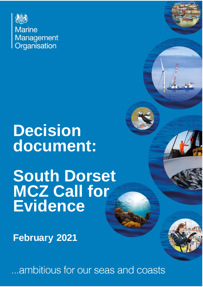

**Marine** Management Organisation

# **Decision document:**

# **South Dorset MCZ Call for Evidence**

**February 2021**

...ambitious for our seas and coasts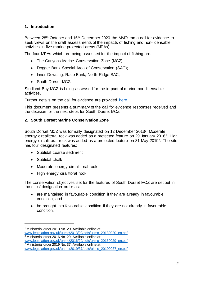## **1. Introduction**

Between 28th October and 15th December 2020 the MMO ran a call for evidence to seek views on the draft assessments of the impacts of fishing and non-licensable activities in five marine protected areas (MPAs).

The four MPAs which are being assessed for the impact of fishing are:

- The Canyons Marine Conservation Zone (MCZ);
- Dogger Bank Special Area of Conservation (SAC):
- Inner Dowsing, Race Bank, North Ridge SAC;
- South Dorset MCZ.

Studland Bay MCZ is being assessed for the impact of marine non-licensable activities.

Further details on the call for evidence are provided [here.](https://www.gov.uk/government/publications/managing-fisheries-in-marine-protection-areas-call-for-evidence)

This document presents a summary of the call for evidence responses received and the decision for the next steps for South Dorset MCZ.

## **2. South Dorset Marine Conservation Zone**

South Dorset MCZ was formally designated on 12 December 2013<sup>1</sup> . Moderate energy circalittoral rock was added as a protected feature on 29 January 2016<sup>2</sup>. High energy circalittoral rock was added as a protected feature on 31 May 2019<sup>3</sup>. The site has four designated features:

- Subtidal coarse sediment
- Subtidal chalk

l

- Moderate energy circalittoral rock
- High energy ciralittoral rock

The conservation objectives set for the features of South Dorset MCZ are set out in the sites' designation order as:

- are maintained in favourable condition if they are already in favourable condition; and
- be brought into favourable condition if they are not already in favourable condition.

[www.legislation.gov.uk/ukmo/2013/20/pdfs/ukmo\\_20130020\\_en.pdf](http://www.legislation.gov.uk/ukmo/2013/20/pdfs/ukmo_20130020_en.pdf)

<sup>3</sup> Ministerial order 2019 No. 37. Available online at:

<sup>&</sup>lt;sup>1</sup> Ministerial order 2013 No. 20. Available online at:

<sup>&</sup>lt;sup>2</sup> Ministerial order 2016 No. 29. Available online at: [www.legislation.gov.uk/ukmo/2016/29/pdfs/ukmo\\_20160029\\_en.pdf](http://www.legislation.gov.uk/ukmo/2016/29/pdfs/ukmo_20160029_en.pdf)

[www.legislation.gov.uk/ukmo/2019/37/pdfs/ukmo\\_20190037\\_en.pdf](http://www.legislation.gov.uk/ukmo/2019/37/pdfs/ukmo_20190037_en.pdf)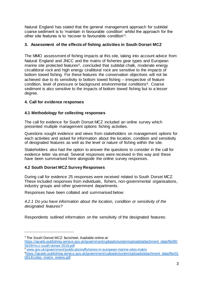Natural England has stated that the general management approach for subtidal coarse sediment is to 'maintain in favourable condition' whilst the approach for the other site features is to 'recover to favourable condition'<sup>4</sup> .

# **3. Assessment of the effects of fishing activities in South Dorset MCZ**

The MMO assessment of fishing impacts at this site, taking into account advice from Natural England and JNCC and the matrix of fisheries gear types and European marine site protected features<sup>5</sup>, concluded that subtidal chalk, moderate energy circalittoral rock and high energy ciralittoral rock are sensitive to the impacts of bottom towed fishing. For these features the conservation objectives will not be achieved due to its sensitivity to bottom towed fishing – irrespective of feature condition, level of pressure or background environmental conditions<sup>6</sup>. Coarse sediment is also sensitive to the impacts of bottom towed fishing but to a lesser degree.

# **4. Call for evidence responses**

# **4.1 Methodology for collecting responses**

The call for evidence for South Dorset MCZ included an online survey which presented multiple management options fishing activities.

Questions sought evidence and views from stakeholders on management options for each activities and asked for information about the location, condition and sensitivity of designated features as well as the level or nature of fishing within the site.

Stakeholders also had the option to answer the questions to consider in the call for evidence letter via email. Several responses were received in this way and these have been summarised here alongside the online survey responses.

# **4.2 South Dorset MCZ Survey Responses**

During call for evidence 25 responses were received related to South Dorset MCZ. These included responses from individuals, fishers, non-governmental organisations, industry groups and other government departments.

Responses have been collated and summarised below:

*4.2.1 Do you have information about the location, condition or sensitivity of the designated features?*

Respondents outlined information on the sensitivity of the designated features:

<sup>4</sup> The South Dorset MCZ: factsheet. Available online at:

[https://assets.publishing.service.gov.uk/government/uploads/system/uploads/attachment\\_data/file/80](https://assets.publishing.service.gov.uk/government/uploads/system/uploads/attachment_data/file/805629/mcz-south-dorset-2019.pdf) [5629/mcz-south-dorset-2019.pdf](https://assets.publishing.service.gov.uk/government/uploads/system/uploads/attachment_data/file/805629/mcz-south-dorset-2019.pdf) 

<sup>5</sup> www.gov.uk/government/publications/fisheries-in-european-marine-sites-matrix

<sup>6</sup>[https://assets.publishing.service.gov.uk/government/uploads/system/uploads/attachment\\_data/file/31](https://assets.publishing.service.gov.uk/government/uploads/system/uploads/attachment_data/file/310814/cefas_matrix_review.pdf) 0814/cefas\_matrix\_review.pdf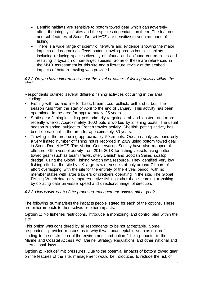- Benthic habitats are sensitive to bottom towed gear which can adversely affect the integrity of sites and the species dependant on them. The features and sub-features of South Dorset MCZ are sensitive to such methods of fishing.
- There is a wide range of scientific literature and evidence showing the major impacts and degrading effects bottom trawling has on benthic habitats including reducing species diversity of infauna and epifauna communities and resulting in bycatch of non-target species. Some of these are referenced in the MMO assessment for this site and a literature review of the seabed impacts of bottom trawling was provided.

## *4.2.2 Do you have information about the level or nature of fishing activity within the site?*

Respondents outlined several different fishing activities occurring in the area including:

- Fishing with rod and line for bass, bream, cod, pollack, brill and turbot. The season runs from the start of April to the end of January. This activity has been operational in the area for approximately 25 years.
- Static gear fishing including pots primarily targeting crab and lobsters and more recently whelks. Approximately 1000 pots is worked by 2 fishing boats. The usual season is spring, subject to French trawler activity. Shellfish potting activity has been operational in the area for approximately 30 years.
- Trawling in the area using approximately 50cm nets. Oceana analyses found only a very limited number of fishing hours recorded in 2019 using bottom towed gear in South Dorset MCZ. The Marine Conservation Society have also mapped all offshore >15m vessel activity from 2015-2018 for fishing vessels using bottom towed gear (such as beam trawls, otter, Danish and Scottish Seine, scallop dredge) using the Global Fishing Watch data resource. They identified very low fishing effort at the site by UK large trawler vessels at only around 7 hours of effort overlapping with the site for the entirety of the 4 year period, with no member states with large trawlers or dredgers operating in the site. The Global Fishing Watch data only captures active fishing rather than steaming, transiting, by collating data on vessel speed and direction/change of direction.

## *4.2.3 How would each of the proposed management options affect you?*

The following summarises the impacts people stated for each of the options. These are either impacts to themselves or other impacts.

**Option 1:** No fisheries restrictions. Introduce a monitoring and control plan within the site.

This option was considered by all respondents to be not acceptable. Some respondents provided reasons as to why it was unacceptable such as option 1 leading to the destruction of the environment and option 1 being counter to the Marine and Coastal Access Act, Marine Strategy Regulations and other national and international laws.

**Option 2:** Reduce/limit pressures. Due to the potential impacts of bottom towed gear on the features of the site, management would be introduced to reduce the risk of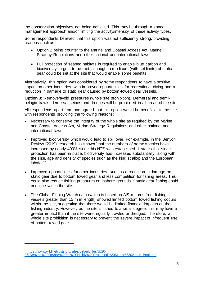the conservation objectives not being achieved. This may be through a zoned management approach and/or limiting the activity/intensity of these activity types.

Some respondents believed that this option was not sufficiently strong, providing reasons such as:

- Option 2 being counter to the Marine and Coastal Access Act, Marine Strategy Regulations and other national and international laws.
- Full protection of seabed habitats is required to enable blue carbon and biodiversity targets to be met, although a modicum (with set limits) of static gear could be set at the site that would enable some benefits.

Alternatively, this option was considered by some respondents to have a positive impact on other industries, with improved opportunities for recreational diving and a reduction in damage to static gear caused by bottom-towed gear vessels.

**Option 3:** Remove/avoid pressures (whole site prohibition). Demersal and semipelagic trawls, demersal seines and dredges will be prohibited in all areas of the site.

All respondents apart from one agreed that this option would be beneficial to the site, with respondents providing the following reasons:

- Necessary to conserve the integrity of the whole site as required by the Marine and Coastal Access Act, Marine Strategy Regulations and other national and international laws.
- Improved biodiversity which would lead to spill over. For example, in the Benyon Review (2019) research has shown "that the numbers of some species have increased by nearly 400% since this NTZ was established. It states that since protection has been in place, biodiversity has increased substantially, along with the size, age and density of species such as the king scallop and the European lobster"7.
- Improved opportunities for other industries, such as a reduction in damage on static gear due to bottom towed gear and less competition for fishing areas. This could also reduce fishing pressures on inshore grounds if static gear fishing could continue within the site.
- The Global Fishing Watch data (which is based on AIS records from fishing vessels greater than 15 m in length) showed limited bottom towed fishing occurs within the site, suggesting that there would be limited financial impacts on the fishing industry. However, as the site is fished to a small degree, this may have a greater impact than if the site were regularly trawled or dredged. Therefore, a whole site prohibition is necessary to prevent the severe impact of infrequent use of bottom towed gear.

<sup>7</sup> [https://www.wildlifetrusts.org/sites/default/files/2020-](https://www.wildlifetrusts.org/sites/default/files/2020-06/Benyon%20Review%20on%20Highly%20Protected%20Marine%20Areas_Book.pdf)

[<sup>06/</sup>Benyon%20Review%20on%20Highly%20Protected%20Marine%20Areas\\_Book.pdf](https://www.wildlifetrusts.org/sites/default/files/2020-06/Benyon%20Review%20on%20Highly%20Protected%20Marine%20Areas_Book.pdf)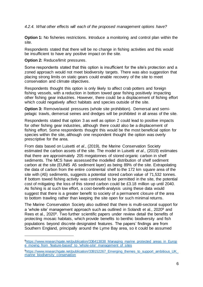*4.2.4. What other effects will each of the proposed management options have?* 

**Option 1:** No fisheries restrictions. Introduce a monitoring and control plan within the site.

Respondents stated that there will be no change in fishing activities and this would be insufficient to have any positive impact on the site.

**Option 2: Reduce/limit pressures.** 

l

Some respondents stated that this option is insufficient for the site's protection and a zoned approach would not meet biodiversity targets. There was also suggestion that placing strong limits on static gears could enable recovery of the site to meet conservation and climate objectives.

Respondents thought this option is only likely to affect crab potters and foreign fishing vessels, with a reduction in bottom towed gear fishing positively impacting other fishing gear industries. However, there could be a displacement of fishing effort which could negatively affect habitats and species outside of the site.

**Option 3:** Remove/avoid pressures (whole site prohibition). Demersal and semipelagic trawls, demersal seines and dredges will be prohibited in all areas of the site.

Respondents stated that option 3 as well as option 2 could lead to positive impacts for other fishing gear industries, although there could also be a displacement of fishing effort. Some respondents thought this would be the most beneficial option for species within the site, although one respondent thought the option was overly prescriptive for the area.

From data based on Luisetti *et al*., (2019), the Marine Conservation Society estimated the carbon assets of the site. The model in Luisetti *et al*., (2019) estimates that there are approximately 205 megatonnes of stored organic carbon in shelf sediments. The MCS have assessed the modelled distribution of shelf sediment carbon at the site (EUNIS A5 sediment layer) as being 89% of the site. Extrapolating the data of carbon from the entire continental shelf to the 172 km square area of the site with (A5) sediments, suggests a potential stored carbon value of 71,532 tonnes. If bottom towed fishing activity was continued to be permitted in the site, the potential cost of mitigating the loss of this stored carbon could be £3.18 million up until 2040. As fishing is at such low effort, a cost-benefit-analysis using these data would suggest that there is a greater benefit to society of a permanent closure of the area to bottom trawling rather than keeping the site open for such minimal returns.

The Marine Conservation Society also outlined that there is multi-sectoral support for a 'whole site' management approach such as outlined in Solandt et al., 2020<sup>8</sup> and Rees et al., 20209. Two further scientific papers under review detail the benefits of protecting mosaic habitats, which provide benefits to benthic biodiversity and fish populations beyond discrete designated features. The papers' findings are from Southern England, principally around the Lyme Bay area, so it could be assumed

<sup>&</sup>lt;sup>8</sup>https://www.researchgate.net/publication/336413838 Managing marine protected areas in Europ [e\\_moving\\_from\\_'feature-based'\\_to\\_'whole-site'\\_management\\_of\\_sites](https://www.researchgate.net/publication/336413838_Managing_marine_protected_areas_in_Europe_moving_from_)

<sup>&</sup>lt;sup>9</sup>https://www.researchgate.net/publication/339152267 Emerging themes to support ambitious UK [marine\\_biodiversity\\_conservation](https://www.researchgate.net/publication/339152267_Emerging_themes_to_support_ambitious_UK_marine_biodiversity_conservation)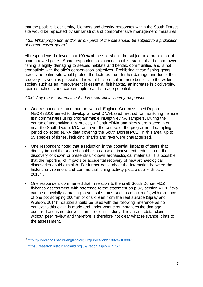that the positive biodiversity, biomass and density responses within the South Dorset site would be replicated by similar strict and comprehensive management measures.

## *4.3.5 What proportion and/or which parts of the site should be subject to a prohibition of bottom towed gears?*

All respondents believed that 100 % of the site should be subject to a prohibition of bottom towed gears. Some respondents expanded on this, stating that bottom towed fishing is highly damaging to seabed habitats and benthic communities and is not compatible with the site's conservation objectives. Prohibiting these fishing gears across the entire site would protect the features from further damage and foster their recovery as soon as possible. This would also result in more benefits to the wider society such as an improvement in essential fish habitat, an increase in biodiversity, species richness and carbon capture and storage potential.

#### *4.3.6. Any other comments not addressed within survey responses*

- One respondent stated that the Natural England Commissioned Report, NECR33010 aimed to develop a novel DNA-based method for monitoring inshore fish communities using programmable inDepth eDNA samplers. During the course of undertaking this project, inDepth eDNA samplers were placed in or near the South Dorset MCZ and over the course of the programmed sampling period collected eDNA data covering the South Dorset MCZ. In this area, up to 55 species of fishes, including sharks and rays were characterised.
- One respondent noted that a reduction in the potential impacts of gears that directly impact the seabed could also cause an inadvertent reduction on the discovery of known or presently unknown archaeological materials. It is possible that the reporting of impacts or accidental recovery of new archaeological discoveries could diminish. For further detail about the interaction between the historic environment and commercial fishing activity please see Firth et. al., 201311.
- One respondent commented that in relation to the draft South Dorset MCZ fisheries assessment, with reference to the statement on p.37, section 4.2.1: "this can be especially damaging to soft substrates such as chalk reefs, with evidence of one pot scraping 200mm of chalk relief from the reef surface (Spray and Watson, 2011)", caution should be used with the following reference as no context to this claim is made and under what circumstances the damage occurred and is not derived from a scientific study. It is an anecdotal claim without peer review and therefore is therefore not clear what relevance it has to the assessment.

<sup>10</sup> <http://publications.naturalengland.org.uk/publication/5189247108907008>

<sup>11</sup> <https://research.historicengland.org.uk/Report.aspx?i=15757>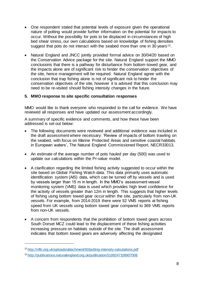- One respondent stated that potential levels of exposure given the operational nature of potting would provide further information on the potential for impacts to occur. Without the possibility for pots to be displaced in circumstances of high bed shear stress, our own calculations based on knowledge of fishing densities suggest that pots do not interact with the seabed more than one in 30 years<sup>12</sup>.
- Natural England and JNCC jointly provided formal advice on 30/04/20 based on the Conservation Advice package for the site. Natural England support the MMO conclusions that there is a pathway for disturbance from bottom-towed gear, and the impacts alone are of significant risk to hinder the conservation objectives of the site, hence management will be required. Natural England agree with the conclusion that trap fishing alone is not of significant risk to hinder the conservation objectives of the site, however it is advised that this conclusion may need to be re-visited should fishing intensity changes in the future.

## **5. MMO response to site specific consultation responses**

MMO would like to thank everyone who responded to the call for evidence. We have reviewed all responses and have updated our assessment accordingly.

A summary of specific evidence and comments, and how these have been addressed is set out below:

- The following documents were reviewed and additional evidence was included in the draft assessment where necessary: 'Review of impacts of bottom trawling on the seabed, with focus on Marine Protected Areas and sensitive coastal habitats in European waters', The Natural England Commissioned Report, NECR33013.
- An estimate of the average number of pots hauled per day (500) was used to update our calculations within the Pr-value model.
- A clarification regarding the limited fishing activity suggested to occur within the site based on Global Fishing Watch data. This data primarily uses automatic identification system (AIS) data, which can be turned off by vessels and is used by vessels larger than 15 m in length. In the MMO's assessment vessel monitoring system (VMS) data is used which provides high level confidence for the activity of vessels greater than 12m in length. This suggests that higher levels of fishing using bottom towed gear occur within the site, particularly from non-UK vessels. For example, from 2014-2019 there were 52 VMS reports at fishing speed from UK vessels using bottom towed gear compared to 369 VMS reports from non-UK vessels.
- A concern from respondents that the prohibition of bottom towed gears across South Dorset MCZ could lead to the displacement of these fishing activities increasing pressure on habitats outside of the site. The draft assessment indicates that bottom towed gears are adversely affecting the designated

<sup>12</sup> <http://nffo.org.uk/uploads/attachment/92/potting-intensity-calculations.pdf>

<sup>13</sup> <http://publications.naturalengland.org.uk/publication/5189247108907008>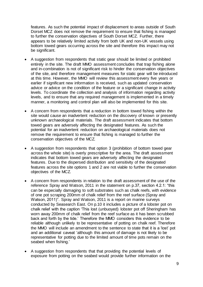features. As such the potential impact of displacement to areas outside of South Dorset MCZ does not remove the requirement to ensure that fishing is managed to further the conservation objectives of South Dorset MCZ. Further, there appears to be relatively limited activity from both UK and non-UK vessels using bottom towed gears occurring across the site and therefore this impact may not be significant.

- A suggestion from respondents that static gear should be limited or prohibited entirely in the site. The draft MMO assessment concludes that trap fishing alone and in-combination is not of significant risk to hinder the conservation objectives of the site, and therefore management measures for static gear will be introduced at this time. However, the MMO will review this assessment every five years or earlier if significant new information is received, such as updated conservation advice or advice on the condition of the feature or a significant change in activity levels. To coordinate the collection and analysis of information regarding activity levels, and to ensure that any required management is implemented in a timely manner, a monitoring and control plan will also be implemented for this site.
- A concern from respondents that a reduction in bottom towed fishing within the site would cause an inadvertent reduction on the discovery of known or presently unknown archaeological materials. The draft assessment indicates that bottom towed gears are adversely affecting the designated features. As such the potential for an inadvertent reduction on archaeological materials does not remove the requirement to ensure that fishing is managed to further the conservation objectives of the MCZ.
- A suggestion from respondents that option 3 (prohibition of bottom towed gear across the whole site) is overly prescriptive for the area. The draft assessment indicates that bottom towed gears are adversely affecting the designated features. Due to the dispersed distribution and sensitivity of the designated features across the site options 1 and 2 are not viable to further the conservation objectives of the MCZ.
- A concern from respondents in relation to the draft assessment of the use of the reference Spray and Watson, 2011 in the statement on p.37, section 4.2.1: "this can be especially damaging to soft substrates such as chalk reefs, with evidence of one pot scraping 200mm of chalk relief from the reef surface (Spray and Watson, 2011)". Spray and Watson, 2011 is a report on marine surveys conducted by Seasearch East. On p.10 it includes a picture of a lobster pot on chalk relief with the caption 'This lost (unbuoyed) lobster pot off Sheringham has worn away 200mm of chalk relief from the reef surface as it has been scrubbed back and forth by the tide.' Therefore the MMO considers this evidence to be reliable although unlikely to be representative of potting on chalk reef. Therefore the MMO will include an amendment to the sentence to state that it is a 'lost' pot and an additional caveat 'although this amount of damage is not likely to be representative for potting due to the limited amount of time pots remain on the seabed when fishing.'
- A suggestion from respondents that that providing the potential levels of exposure from potting on the seabed would provide further information on the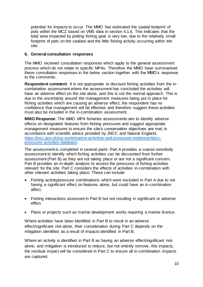potential for impacts to occur. The MMO has estimated the spatial footprint of pots within the MCZ based on VMS data in section 4.1.6. This indicates that the total area impacted by potting fishing gear is very low, due to the relatively small footprint of pots on the seabed and the little fishing activity occurring within the site.

## **6. General consultation responses**

The MMO received consultation responses which apply to the general assessment process which do not relate to specific MPAs. Therefore the MMO have summarised these consultation responses in the below section together with the MMO's response to the comments.

**Respondent comment:** It is not appropriate to discount fishing activities from the incombination assessment where the assessment has concluded the activities will have an adverse effect on the site alone, and this is not the normal approach. This is due to the uncertainty around the management measures being put in place for fishing activities which are causing an adverse effect, the respondent has no confidence that management will be effective and therefore suggest these activities must also be included in the in-combination assessment.

**MMO Response**: The MMO MPA fisheries assessments aim to identify adverse effects on designated features from fishing pressures and suggest appropriate management measures to ensure the site's conservation objectives are met, in accordance with scientific advice provided by JNCC and Natural England, [https://jncc.gov.uk/our-work/marine-activities-and-pressures-evidence/#jncc](https://jncc.gov.uk/our-work/marine-activities-and-pressures-evidence/#jncc-pressures-activities-database)[pressures-activities-database.](https://jncc.gov.uk/our-work/marine-activities-and-pressures-evidence/#jncc-pressures-activities-database) 

The assessment is completed in several parts: Part A provides a coarse sensitivity assessment to identify which fishing activities can be discounted from further assessment (Part B) as they are not taking place or are not a significant concern. Part B provides an in-depth analysis to assess the pressures of fishing activities relevant for the site. Part C considers the effects of activities in-combination with other relevant activities taking place. These can include:

- Fishing activity/pressure combinations which were excluded in Part A due to not having a significant effect on features alone, but could have an in-combination affect.
- Fishing interactions assessed in Part B but not resulting in significant or adverse effect.
- Plans or projects such as marine development works requiring a marine licence.

Where activities have been identified in Part B to result in an adverse effect/significant risk alone, their consideration during Part C depends on the mitigation identified as a result of impacts identified in Part B.

Where an activity is identified in Part B as having an adverse effect/significant risk alone, and mitigation is introduced to reduce, but not entirely remove, this impacts, the residual impact will be considered in Part C to ensure all in-combination impacts are captured.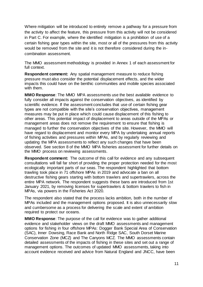Where mitigation will be introduced to entirely remove a pathway for a pressure from the activity to affect the feature, this pressure from this activity will not be considered in Part C. For example, where the identified mitigation is a prohibition of use of a certain fishing gear types within the site, most or all of the pressures from this activity would be removed from the site and it is not therefore considered during the incombination assessment.

The MMO assessment methodology is provided in Annex 1 of each assessment for full context.

**Respondent comment:** Any spatial management measure to reduce fishing pressure must also consider the potential displacement effects, and the wider impacts this could have on the benthic communities and mobile species associated with them.

**MMO Response**: The MMO MPA assessments use the best available evidence to fully consider all impacts against the conservation objectives, as identified by scientific evidence. If the assessment concludes that use of certain fishing gear types are not compatible with the site's conservation objectives, management measures may be put in place which could cause displacement of this fishing to other areas. This potential impact of displacement to areas outside of the MPAs or management areas does not remove the requirement to ensure that fishing is managed to further the conservation objectives of the site. However, the MMO will have regard to displacement and monitor every MPA by undertaking annual reports of fishing activities and pressures within MPAs, and by regularly reviewing and updating the MPA assessments to reflect any such changes that have been observed. See section 8 of the MMO MPA fisheries assessment for further details on the MMO process on reviewing assessments.

**Respondent comment:** The outcome of this call for evidence and any subsequent consultations will fall far short of providing the proper protection needed for the most ecologically important parts of our seas. The respondent highlighted that bottom trawling took place in 71 offshore MPAs in 2019 and advocate a ban on all destructive fishing gears starting with bottom trawlers and supertrawlers, across the entire MPA network. The respondent suggests these bans are introduced from 1st January 2021, by removing licenses for supertrawlers & bottom trawlers to fish in MPAs, via powers in the Fisheries Act 2020.

The respondent also stated that the process lacks ambition, both in the number of MPAs included and the management options proposed. It is also unnecessarily slow and cumbersome as a process for delivering the scale and extent of ambition required to protect our oceans.

**MMO Response**: The purpose of the call for evidence was to gather additional evidence and stakeholder views on the draft MMO assessments and management options for fishing in four offshore MPAs: Dogger Bank Special Area of Conservation (SAC), Inner Dowsing, Race Bank and North Ridge SAC, South Dorset Marine Conservation Zone (MCZ) and The Canyons MCZ. The MMO assessments contain detailed assessments of the impacts of fishing in these sites and set out a range of management options. The outcomes of updated MMO assessments, taking into account evidence received and advice from Natural England and JNCC, have been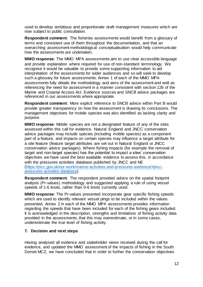used to develop ambitious and proportionate draft management measures which are now subject to public consultation.

**Respondent comment**: The fisheries assessments would benefit from a glossary of terms and consistent use of them throughout the documentation, and that an overarching assessment methodological conceptualisation would help communicate how the assessments are undertaken.

**MMO response**: The MMO MPA assessments aim to use clear accessible language and provide explanation where required for use of non-standard terminology. We recognise it would be valuable to provide some supporting information to aid interpretation of the assessments for wider audiences and so will seek to develop such a glossary for future assessments. Annex 1 of each of the MMO MPA assessments fully details the methodology and aims of the assessment and well as referencing the need for assessment in a manner consistent with section 126 of the Marine and Coastal Access Act. Evidence sources and SNCB advice packages are referenced in our assessments where appropriate.

**Respondent comment**: More explicit reference to SNCB advice within Part B would provide greater transparency on how the assessment is drawing its conclusions. The management objectives for mobile species was also identified as lacking clarity and purpose.

**MMO response**: Mobile species are not a designated feature of any of the sites assessed within this call for evidence. Natural England and JNCC conservation advice packages may include species (including mobile species) as a component part of a feature, and impacts on certain species may influence a target attribute for a site feature (feature target attributes are set out in Natural England or JNCC conservation advice packages). Where fishing impacts (for example the removal of target and non-target species) has the potential to impact a sites' conservation objectives we have used the best available evidence to assess this, in accordance with the pressures activities database published by JNCC and NE [\(https://jncc.gov.uk/our-work/marine-activities-and-pressures-evidence/#jncc](https://jncc.gov.uk/our-work/marine-activities-and-pressures-evidence/#jncc-pressures-activities-database)[pressures-activities-database\).](https://jncc.gov.uk/our-work/marine-activities-and-pressures-evidence/#jncc-pressures-activities-database)

**Respondent comment**: The respondent provided advice on the spatial footprint analysis (Pr-values) methodology and suggested applying a rule of using vessel speeds of 1-6 knots, rather than 0-6 knots currently used.

**MMO response**: The Pr-values presented incorporate gear specific fishing speeds which are used to identify relevant vessel pings to be included within the values presented. Annex 2 in each of the MMO MPA assessments provides information regarding the speeds that have been included for each of the fishing gears included. It is acknowledged in the description, strengths and limitations of fishing activity data provided in the assessments, that this may overestimate, or in some cases, underestimate the true level of fishing activity.

## **7. Decision and next steps**

Having analysed all evidence and stakeholder views received during the call for evidence, and updated the MMO assessment of the impacts of fishing in the South Dorset MCZ, we have concluded that in order to further the conservation objectives